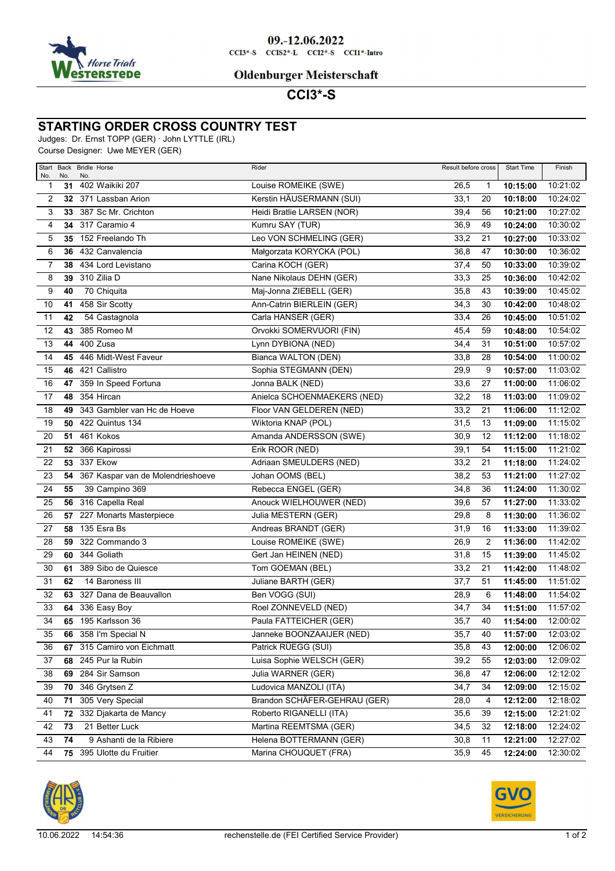

### **Oldenburger Meisterschaft**

## **CCI3\*-S**

#### **STARTING ORDER CROSS COUNTRY TEST**

Judges: Dr. Ernst TOPP (GER) · John LYTTLE (IRL)

Course Designer: Uwe MEYER (GER)

| No.             | No. | Start Back Bridle Horse<br>No.    | Rider                        | Result before cross |    | <b>Start Time</b> | Finish   |
|-----------------|-----|-----------------------------------|------------------------------|---------------------|----|-------------------|----------|
| 1               | 31  | 402 Waikiki 207                   | Louise ROMEIKE (SWE)         | 26,5                | 1  | 10:15:00          | 10:21:02 |
| 2               |     | 32 371 Lassban Arion              | Kerstin HÄUSERMANN (SUI)     | 33,1                | 20 | 10:18:00          | 10:24:02 |
| 3               |     | 33 387 Sc Mr. Crichton            | Heidi Bratlie LARSEN (NOR)   | 39,4                | 56 | 10:21:00          | 10:27:02 |
| 4               |     | 34 317 Caramio 4                  | Kumru SAY (TUR)              | 36,9                | 49 | 10:24:00          | 10:30:02 |
| 5               | 35  | 152 Freelando Th                  | Leo VON SCHMELING (GER)      | 33,2                | 21 | 10:27:00          | 10:33:02 |
| 6               | 36  | 432 Canvalencia                   | Małgorzata KORYCKA (POL)     | 36,8                | 47 | 10:30:00          | 10:36:02 |
| 7               | 38  | 434 Lord Levistano                | Carina KOCH (GER)            | 37,4                | 50 | 10:33:00          | 10:39:02 |
| 8               | 39  | 310 Zilia D                       | Nane Nikolaus DEHN (GER)     | 33,3                | 25 | 10:36:00          | 10:42:02 |
| 9               | 40  | 70 Chiquita                       | Maj-Jonna ZIEBELL (GER)      | 35,8                | 43 | 10:39:00          | 10:45:02 |
| 10              | 41  | 458 Sir Scotty                    | Ann-Catrin BIERLEIN (GER)    | 34,3                | 30 | 10:42:00          | 10:48:02 |
| 11              | 42  | 54 Castagnola                     | Carla HANSER (GER)           | 33,4                | 26 | 10:45:00          | 10:51:02 |
| $\overline{12}$ | 43  | 385 Romeo M                       | Orvokki SOMERVUORI (FIN)     | 45,4                | 59 | 10:48:00          | 10:54:02 |
| 13              | 44  | 400 Zusa                          | Lynn DYBIONA (NED)           | 34,4                | 31 | 10:51:00          | 10:57:02 |
| 14              | 45  | 446 Midt-West Faveur              | Bianca WALTON (DEN)          | 33,8                | 28 | 10:54:00          | 11:00:02 |
| 15              | 46  | 421 Callistro                     | Sophia STEGMANN (DEN)        | 29,9                | 9  | 10:57:00          | 11:03:02 |
| 16              | 47  | 359 In Speed Fortuna              | Jonna BALK (NED)             | 33,6                | 27 | 11:00:00          | 11:06:02 |
| 17              | 48  | 354 Hircan                        | Anielca SCHOENMAEKERS (NED)  | 32,2                | 18 | 11:03:00          | 11:09:02 |
| 18              | 49  | 343 Gambler van Hc de Hoeve       | Floor VAN GELDEREN (NED)     | 33,2                | 21 | 11:06:00          | 11:12:02 |
| 19              |     | <b>50</b> 422 Quintus 134         | Wiktoria KNAP (POL)          | 31,5                | 13 | 11:09:00          | 11:15:02 |
| 20              |     | <b>51 461 Kokos</b>               | Amanda ANDERSSON (SWE)       | 30,9                | 12 | 11:12:00          | 11:18:02 |
| 21              |     | 52 366 Kapirossi                  | Erik ROOR (NED)              | 39,1                | 54 | 11:15:00          | 11:21:02 |
| 22              | 53  | 337 Ekow                          | Adriaan SMEULDERS (NED)      | 33,2                | 21 | 11:18:00          | 11:24:02 |
| 23              | 54  | 367 Kaspar van de Molendrieshoeve | Johan OOMS (BEL)             | 38,2                | 53 | 11:21:00          | 11:27:02 |
| 24              | 55  | 39 Campino 369                    | Rebecca ENGEL (GER)          | 34,8                | 36 | 11:24:00          | 11:30:02 |
| 25              | 56  | 316 Capella Real                  | Anouck WIELHOUWER (NED)      | 39,6                | 57 | 11:27:00          | 11:33:02 |
| 26              | 57  | 227 Monarts Masterpiece           | Julia MESTERN (GER)          | 29,8                | 8  | 11:30:00          | 11:36:02 |
| 27              | 58  | 135 Esra Bs                       | Andreas BRANDT (GER)         | 31,9                | 16 | 11:33:00          | 11:39:02 |
| 28              | 59  | 322 Commando 3                    | Louise ROMEIKE (SWE)         | 26,9                | 2  | 11:36:00          | 11:42:02 |
| 29              | 60  | 344 Goliath                       | Gert Jan HEINEN (NED)        | 31,8                | 15 | 11:39:00          | 11:45:02 |
| 30              | 61  | 389 Sibo de Quiesce               | Tom GOEMAN (BEL)             | 33,2                | 21 | 11:42:00          | 11:48:02 |
| 31              | 62  | 14 Baroness III                   | Juliane BARTH (GER)          | 37,7                | 51 | 11:45:00          | 11:51:02 |
| 32              | 63  | 327 Dana de Beauvallon            | Ben VOGG (SUI)               | 28,9                | 6  | 11:48:00          | 11:54:02 |
| 33              | 64  | 336 Easy Boy                      | Roel ZONNEVELD (NED)         | 34,7                | 34 | 11:51:00          | 11:57:02 |
| 34              | 65  | 195 Karlsson 36                   | Paula FATTEICHER (GER)       | 35,7                | 40 | 11:54:00          | 12:00:02 |
| 35              |     | 66 358 I'm Special N              | Janneke BOONZAAIJER (NED)    | 35,7                | 40 | 11:57:00          | 12:03:02 |
| 36              | 67  | 315 Camiro von Eichmatt           | Patrick RÜEGG (SUI)          | 35,8                | 43 | 12:00:00          | 12:06:02 |
| 37              | 68  | 245 Pur la Rubin                  | Luisa Sophie WELSCH (GER)    | 39,2                | 55 | 12:03:00          | 12:09:02 |
| 38              | 69  | 284 Sir Samson                    | Julia WARNER (GER)           | 36,8                | 47 | 12:06:00          | 12:12:02 |
| 39              | 70  | 346 Grytsen Z                     | Ludovica MANZOLI (ITA)       | 34,7                | 34 | 12:09:00          | 12:15:02 |
| 40              | 71  | 305 Very Special                  | Brandon SCHÄFER-GEHRAU (GER) | 28,0                | 4  | 12:12:00          | 12:18:02 |
| 41              | 72  | 332 Djakarta de Mancy             | Roberto RIGANELLI (ITA)      | 35,6                | 39 | 12:15:00          | 12:21:02 |
| 42              | 73  | 21 Better Luck                    | Martina REEMTSMA (GER)       | 34,5                | 32 | 12:18:00          | 12:24:02 |
| 43              | 74  | 9 Ashanti de la Ribiere           | Helena BOTTERMANN (GER)      | 30,8                | 11 | 12:21:00          | 12:27:02 |
| 44              | 75  | 395 Ulotte du Fruitier            | Marina CHOUQUET (FRA)        | 35,9                | 45 | 12:24:00          | 12:30:02 |